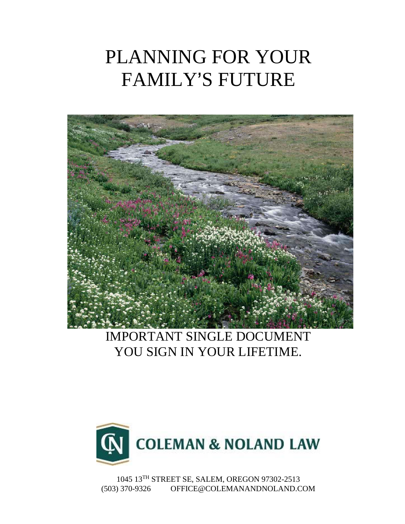# PLANNING FOR YOUR FAMILY'S FUTURE



# IMPORTANT SINGLE DOCUMENT YOU SIGN IN YOUR LIFETIME.



1045 13TH STREET SE, SALEM, OREGON 97302-2513 (503) 370-9326 OFFICE@COLEMANANDNOLAND.COM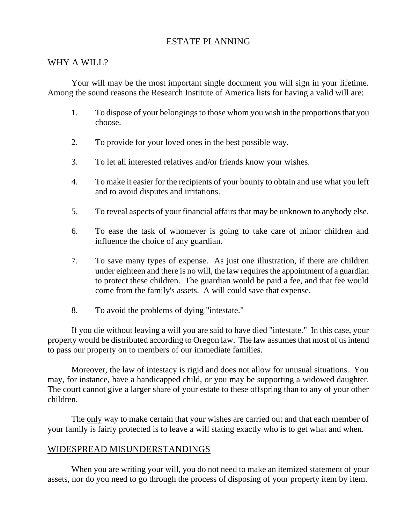# ESTATE PLANNING

#### WHY A WILL?

Your will may be the most important single document you will sign in your lifetime. Among the sound reasons the Research Institute of America lists for having a valid will are:

- 1. To dispose of your belongings to those whom you wish in the proportions that you choose.
- 2. To provide for your loved ones in the best possible way.
- 3. To let all interested relatives and/or friends know your wishes.
- 4. To make it easier for the recipients of your bounty to obtain and use what you left and to avoid disputes and irritations.
- 5. To reveal aspects of your financial affairs that may be unknown to anybody else.
- 6. To ease the task of whomever is going to take care of minor children and influence the choice of any guardian.
- 7. To save many types of expense. As just one illustration, if there are children under eighteen and there is no will, the law requires the appointment of a guardian to protect these children. The guardian would be paid a fee, and that fee would come from the family's assets. A will could save that expense.
- 8. To avoid the problems of dying "intestate."

If you die without leaving a will you are said to have died "intestate." In this case, your property would be distributed according to Oregon law. The law assumes that most of us intend to pass our property on to members of our immediate families.

Moreover, the law of intestacy is rigid and does not allow for unusual situations. You may, for instance, have a handicapped child, or you may be supporting a widowed daughter. The court cannot give a larger share of your estate to these offspring than to any of your other children.

The only way to make certain that your wishes are carried out and that each member of your family is fairly protected is to leave a will stating exactly who is to get what and when.

# WIDESPREAD MISUNDERSTANDINGS

When you are writing your will, you do not need to make an itemized statement of your assets, nor do you need to go through the process of disposing of your property item by item.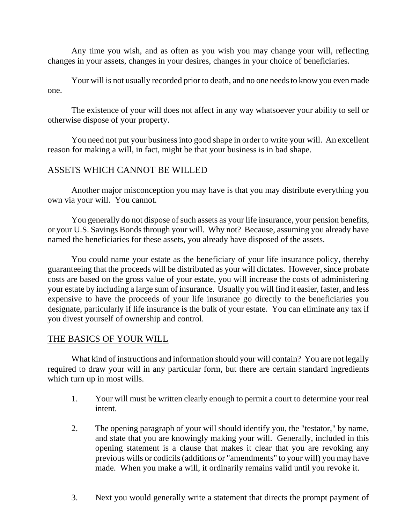Any time you wish, and as often as you wish you may change your will, reflecting changes in your assets, changes in your desires, changes in your choice of beneficiaries.

Your will is not usually recorded prior to death, and no one needs to know you even made one.

The existence of your will does not affect in any way whatsoever your ability to sell or otherwise dispose of your property.

You need not put your business into good shape in order to write your will. An excellent reason for making a will, in fact, might be that your business is in bad shape.

# ASSETS WHICH CANNOT BE WILLED

Another major misconception you may have is that you may distribute everything you own via your will. You cannot.

You generally do not dispose of such assets as your life insurance, your pension benefits, or your U.S. Savings Bonds through your will. Why not? Because, assuming you already have named the beneficiaries for these assets, you already have disposed of the assets.

You could name your estate as the beneficiary of your life insurance policy, thereby guaranteeing that the proceeds will be distributed as your will dictates. However, since probate costs are based on the gross value of your estate, you will increase the costs of administering your estate by including a large sum of insurance. Usually you will find it easier, faster, and less expensive to have the proceeds of your life insurance go directly to the beneficiaries you designate, particularly if life insurance is the bulk of your estate. You can eliminate any tax if you divest yourself of ownership and control.

#### THE BASICS OF YOUR WILL

What kind of instructions and information should your will contain? You are not legally required to draw your will in any particular form, but there are certain standard ingredients which turn up in most wills.

- 1. Your will must be written clearly enough to permit a court to determine your real intent.
- 2. The opening paragraph of your will should identify you, the "testator," by name, and state that you are knowingly making your will. Generally, included in this opening statement is a clause that makes it clear that you are revoking any previous wills or codicils (additions or "amendments" to your will) you may have made. When you make a will, it ordinarily remains valid until you revoke it.
- 3. Next you would generally write a statement that directs the prompt payment of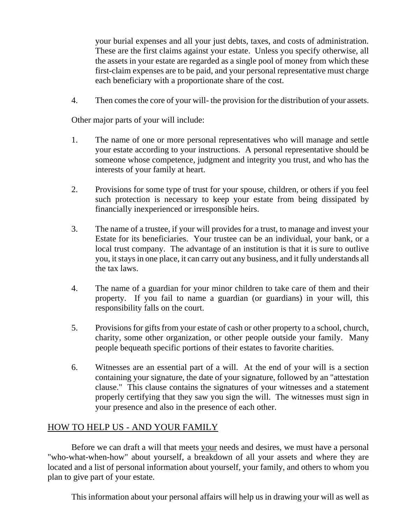your burial expenses and all your just debts, taxes, and costs of administration. These are the first claims against your estate. Unless you specify otherwise, all the assets in your estate are regarded as a single pool of money from which these first-claim expenses are to be paid, and your personal representative must charge each beneficiary with a proportionate share of the cost.

4. Then comes the core of your will- the provision for the distribution of your assets.

Other major parts of your will include:

- 1. The name of one or more personal representatives who will manage and settle your estate according to your instructions. A personal representative should be someone whose competence, judgment and integrity you trust, and who has the interests of your family at heart.
- 2. Provisions for some type of trust for your spouse, children, or others if you feel such protection is necessary to keep your estate from being dissipated by financially inexperienced or irresponsible heirs.
- 3. The name of a trustee, if your will provides for a trust, to manage and invest your Estate for its beneficiaries. Your trustee can be an individual, your bank, or a local trust company. The advantage of an institution is that it is sure to outlive you, it stays in one place, it can carry out any business, and it fully understands all the tax laws.
- 4. The name of a guardian for your minor children to take care of them and their property. If you fail to name a guardian (or guardians) in your will, this responsibility falls on the court.
- 5. Provisions for gifts from your estate of cash or other property to a school, church, charity, some other organization, or other people outside your family. Many people bequeath specific portions of their estates to favorite charities.
- 6. Witnesses are an essential part of a will. At the end of your will is a section containing your signature, the date of your signature, followed by an "attestation clause." This clause contains the signatures of your witnesses and a statement properly certifying that they saw you sign the will. The witnesses must sign in your presence and also in the presence of each other.

# HOW TO HELP US - AND YOUR FAMILY

Before we can draft a will that meets your needs and desires, we must have a personal "who-what-when-how" about yourself, a breakdown of all your assets and where they are located and a list of personal information about yourself, your family, and others to whom you plan to give part of your estate.

This information about your personal affairs will help us in drawing your will as well as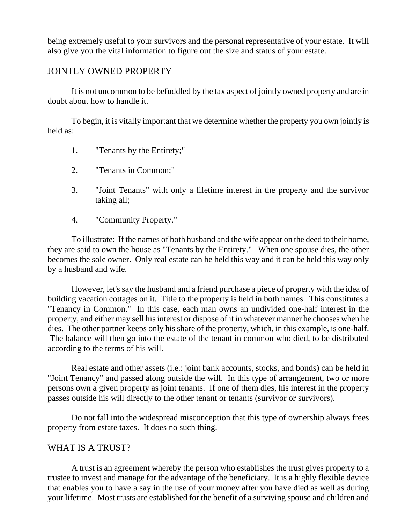being extremely useful to your survivors and the personal representative of your estate. It will also give you the vital information to figure out the size and status of your estate.

#### JOINTLY OWNED PROPERTY

It is not uncommon to be befuddled by the tax aspect of jointly owned property and are in doubt about how to handle it.

To begin, it is vitally important that we determine whether the property you own jointly is held as:

- 1. "Tenants by the Entirety;"
- 2. "Tenants in Common;"
- 3. "Joint Tenants" with only a lifetime interest in the property and the survivor taking all;
- 4. "Community Property."

To illustrate: If the names of both husband and the wife appear on the deed to their home, they are said to own the house as "Tenants by the Entirety." When one spouse dies, the other becomes the sole owner. Only real estate can be held this way and it can be held this way only by a husband and wife.

However, let's say the husband and a friend purchase a piece of property with the idea of building vacation cottages on it. Title to the property is held in both names. This constitutes a "Tenancy in Common." In this case, each man owns an undivided one-half interest in the property, and either may sell his interest or dispose of it in whatever manner he chooses when he dies. The other partner keeps only his share of the property, which, in this example, is one-half. The balance will then go into the estate of the tenant in common who died, to be distributed according to the terms of his will.

Real estate and other assets (i.e.: joint bank accounts, stocks, and bonds) can be held in "Joint Tenancy" and passed along outside the will. In this type of arrangement, two or more persons own a given property as joint tenants. If one of them dies, his interest in the property passes outside his will directly to the other tenant or tenants (survivor or survivors).

Do not fall into the widespread misconception that this type of ownership always frees property from estate taxes. It does no such thing.

#### WHAT IS A TRUST?

A trust is an agreement whereby the person who establishes the trust gives property to a trustee to invest and manage for the advantage of the beneficiary. It is a highly flexible device that enables you to have a say in the use of your money after you have died as well as during your lifetime. Most trusts are established for the benefit of a surviving spouse and children and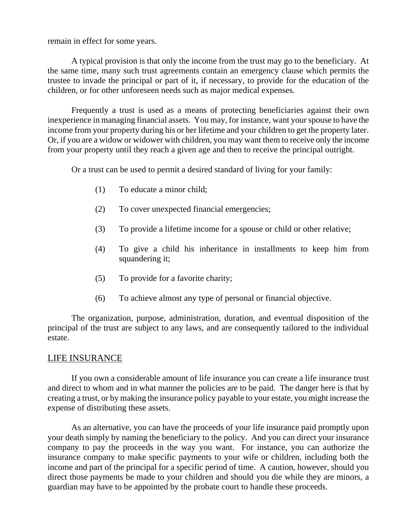remain in effect for some years.

A typical provision is that only the income from the trust may go to the beneficiary. At the same time, many such trust agreements contain an emergency clause which permits the trustee to invade the principal or part of it, if necessary, to provide for the education of the children, or for other unforeseen needs such as major medical expenses.

Frequently a trust is used as a means of protecting beneficiaries against their own inexperience in managing financial assets. You may, for instance, want your spouse to have the income from your property during his or her lifetime and your children to get the property later. Or, if you are a widow or widower with children, you may want them to receive only the income from your property until they reach a given age and then to receive the principal outright.

Or a trust can be used to permit a desired standard of living for your family:

- (1) To educate a minor child;
- (2) To cover unexpected financial emergencies;
- (3) To provide a lifetime income for a spouse or child or other relative;
- (4) To give a child his inheritance in installments to keep him from squandering it;
- (5) To provide for a favorite charity;
- (6) To achieve almost any type of personal or financial objective.

The organization, purpose, administration, duration, and eventual disposition of the principal of the trust are subject to any laws, and are consequently tailored to the individual estate.

#### LIFE INSURANCE

If you own a considerable amount of life insurance you can create a life insurance trust and direct to whom and in what manner the policies are to be paid. The danger here is that by creating a trust, or by making the insurance policy payable to your estate, you might increase the expense of distributing these assets.

As an alternative, you can have the proceeds of your life insurance paid promptly upon your death simply by naming the beneficiary to the policy. And you can direct your insurance company to pay the proceeds in the way you want. For instance, you can authorize the insurance company to make specific payments to your wife or children, including both the income and part of the principal for a specific period of time. A caution, however, should you direct those payments be made to your children and should you die while they are minors, a guardian may have to be appointed by the probate court to handle these proceeds.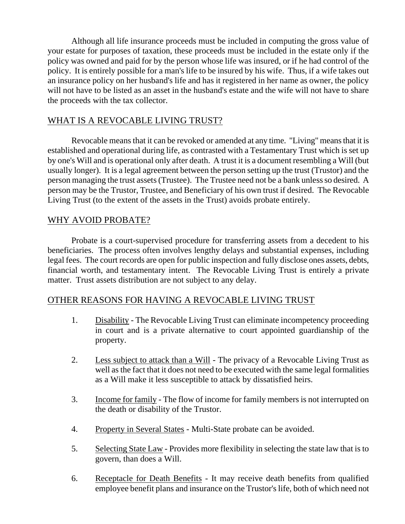Although all life insurance proceeds must be included in computing the gross value of your estate for purposes of taxation, these proceeds must be included in the estate only if the policy was owned and paid for by the person whose life was insured, or if he had control of the policy. It is entirely possible for a man's life to be insured by his wife. Thus, if a wife takes out an insurance policy on her husband's life and has it registered in her name as owner, the policy will not have to be listed as an asset in the husband's estate and the wife will not have to share the proceeds with the tax collector.

# WHAT IS A REVOCABLE LIVING TRUST?

Revocable means that it can be revoked or amended at any time. "Living" means that it is established and operational during life, as contrasted with a Testamentary Trust which is set up by one's Will and is operational only after death. A trust it is a document resembling a Will (but usually longer). It is a legal agreement between the person setting up the trust (Trustor) and the person managing the trust assets (Trustee). The Trustee need not be a bank unless so desired. A person may be the Trustor, Trustee, and Beneficiary of his own trust if desired. The Revocable Living Trust (to the extent of the assets in the Trust) avoids probate entirely.

# WHY AVOID PROBATE?

Probate is a court-supervised procedure for transferring assets from a decedent to his beneficiaries. The process often involves lengthy delays and substantial expenses, including legal fees. The court records are open for public inspection and fully disclose ones assets, debts, financial worth, and testamentary intent. The Revocable Living Trust is entirely a private matter. Trust assets distribution are not subject to any delay.

# OTHER REASONS FOR HAVING A REVOCABLE LIVING TRUST

- 1. Disability The Revocable Living Trust can eliminate incompetency proceeding in court and is a private alternative to court appointed guardianship of the property.
- 2. Less subject to attack than a Will The privacy of a Revocable Living Trust as well as the fact that it does not need to be executed with the same legal formalities as a Will make it less susceptible to attack by dissatisfied heirs.
- 3. Income for family The flow of income for family members is not interrupted on the death or disability of the Trustor.
- 4. Property in Several States Multi-State probate can be avoided.
- 5. Selecting State Law Provides more flexibility in selecting the state law that is to govern, than does a Will.
- 6. Receptacle for Death Benefits It may receive death benefits from qualified employee benefit plans and insurance on the Trustor's life, both of which need not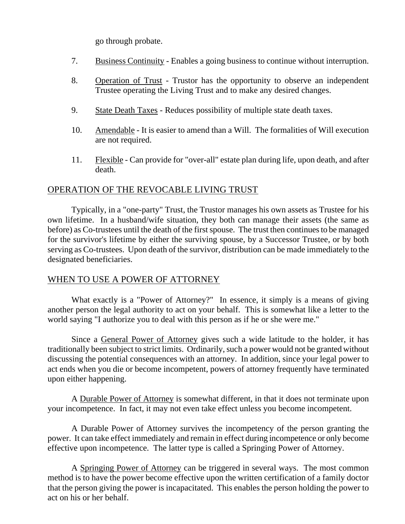go through probate.

- 7. Business Continuity Enables a going business to continue without interruption.
- 8. Operation of Trust Trustor has the opportunity to observe an independent Trustee operating the Living Trust and to make any desired changes.
- 9. State Death Taxes Reduces possibility of multiple state death taxes.
- 10. Amendable It is easier to amend than a Will. The formalities of Will execution are not required.
- 11. Flexible Can provide for "over-all" estate plan during life, upon death, and after death.

#### OPERATION OF THE REVOCABLE LIVING TRUST

Typically, in a "one-party" Trust, the Trustor manages his own assets as Trustee for his own lifetime. In a husband/wife situation, they both can manage their assets (the same as before) as Co-trustees until the death of the first spouse. The trust then continues to be managed for the survivor's lifetime by either the surviving spouse, by a Successor Trustee, or by both serving as Co-trustees. Upon death of the survivor, distribution can be made immediately to the designated beneficiaries.

# WHEN TO USE A POWER OF ATTORNEY

What exactly is a "Power of Attorney?" In essence, it simply is a means of giving another person the legal authority to act on your behalf. This is somewhat like a letter to the world saying "I authorize you to deal with this person as if he or she were me."

Since a General Power of Attorney gives such a wide latitude to the holder, it has traditionally been subject to strict limits. Ordinarily, such a power would not be granted without discussing the potential consequences with an attorney. In addition, since your legal power to act ends when you die or become incompetent, powers of attorney frequently have terminated upon either happening.

A Durable Power of Attorney is somewhat different, in that it does not terminate upon your incompetence. In fact, it may not even take effect unless you become incompetent.

A Durable Power of Attorney survives the incompetency of the person granting the power. It can take effect immediately and remain in effect during incompetence or only become effective upon incompetence. The latter type is called a Springing Power of Attorney.

A Springing Power of Attorney can be triggered in several ways. The most common method is to have the power become effective upon the written certification of a family doctor that the person giving the power is incapacitated. This enables the person holding the power to act on his or her behalf.